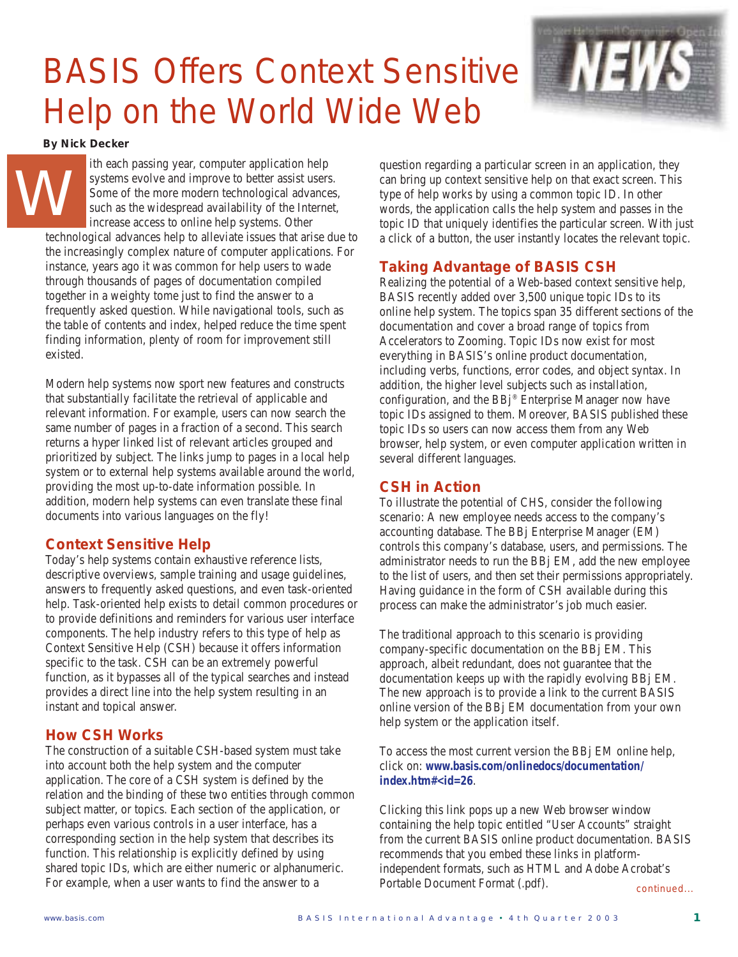# BASIS Offers Context Sensitive Help on the World Wide Web



*By Nick Decker*

ith each passing year, computer application help systems evolve and improve to better assist users. Some of the more modern technological advances, such as the widespread availability of the Internet, increase access to online help systems. Other technological advances help to alleviate issues that arise due to the increasingly complex nature of computer applications. For instance, years ago it was common for help users to wade through thousands of pages of documentation compiled together in a weighty tome just to find the answer to a frequently asked question. While navigational tools, such as the table of contents and index, helped reduce the time spent finding information, plenty of room for improvement still existed. W

Modern help systems now sport new features and constructs that substantially facilitate the retrieval of applicable and relevant information. For example, users can now search the same number of pages in a fraction of a second. This search returns a hyper linked list of relevant articles grouped and prioritized by subject. The links jump to pages in a local help system or to external help systems available around the world, providing the most up-to-date information possible. In addition, modern help systems can even translate these final documents into various languages on the fly!

## **Context Sensitive Help**

Today's help systems contain exhaustive reference lists, descriptive overviews, sample training and usage guidelines, answers to frequently asked questions, and even task-oriented help. Task-oriented help exists to detail common procedures or to provide definitions and reminders for various user interface components. The help industry refers to this type of help as Context Sensitive Help (CSH) because it offers information specific to the task. CSH can be an extremely powerful function, as it bypasses all of the typical searches and instead provides a direct line into the help system resulting in an instant and topical answer.

## **How CSH Works**

The construction of a suitable CSH-based system must take into account both the help system and the computer application. The core of a CSH system is defined by the relation and the binding of these two entities through common subject matter, or topics. Each section of the application, or perhaps even various controls in a user interface, has a corresponding section in the help system that describes its function. This relationship is explicitly defined by using shared topic IDs, which are either numeric or alphanumeric. For example, when a user wants to find the answer to a

question regarding a particular screen in an application, they can bring up context sensitive help on that exact screen. This type of help works by using a common topic ID. In other words, the application calls the help system and passes in the topic ID that uniquely identifies the particular screen. With just a click of a button, the user instantly locates the relevant topic.

# **Taking Advantage of BASIS CSH**

Realizing the potential of a Web-based context sensitive help, BASIS recently added over 3,500 unique topic IDs to its online help system. The topics span 35 different sections of the documentation and cover a broad range of topics from Accelerators to Zooming. Topic IDs now exist for most everything in BASIS's online product documentation, including verbs, functions, error codes, and object syntax. In addition, the higher level subjects such as installation, configuration, and the BBj® Enterprise Manager now have topic IDs assigned to them. Moreover, BASIS published these topic IDs so users can now access them from any Web browser, help system, or even computer application written in several different languages.

# **CSH in Action**

To illustrate the potential of CHS, consider the following scenario: A new employee needs access to the company's accounting database. The BBj Enterprise Manager (EM) controls this company's database, users, and permissions. The administrator needs to run the BBj EM, add the new employee to the list of users, and then set their permissions appropriately. Having guidance in the form of CSH available during this process can make the administrator's job much easier.

The traditional approach to this scenario is providing company-specific documentation on the BBj EM. This approach, albeit redundant, does not guarantee that the documentation keeps up with the rapidly evolving BBj EM. The new approach is to provide a link to the current BASIS online version of the BBj EM documentation from your own help system or the application itself.

To access the most current version the BBj EM online help, click on: *www.basis.com/onlinedocs/documentation/ index.htm#<id=26*.

*continued...* Clicking this link pops up a new Web browser window containing the help topic entitled "User Accounts" straight from the current BASIS online product documentation. BASIS recommends that you embed these links in platformindependent formats, such as HTML and Adobe Acrobat's Portable Document Format (.pdf).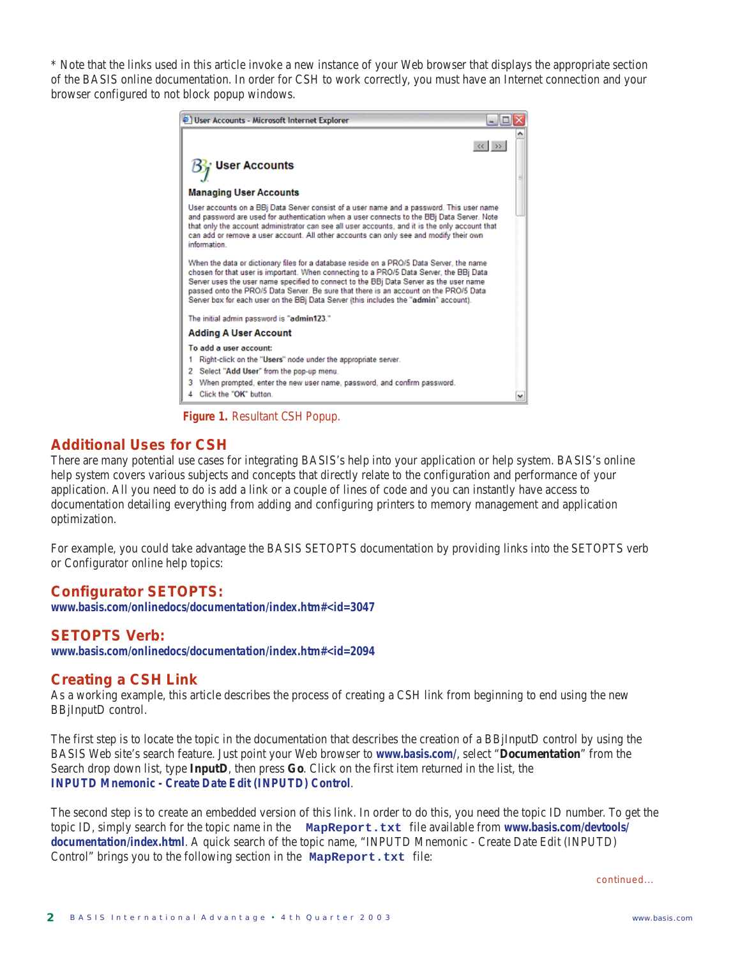\* Note that the links used in this article invoke a new instance of your Web browser that displays the appropriate section of the BASIS online documentation. In order for CSH to work correctly, you must have an Internet connection and your browser configured to not block popup windows.



**Figure 1.** Resultant CSH Popup.

### **Additional Uses for CSH**

There are many potential use cases for integrating BASIS's help into your application or help system. BASIS's online help system covers various subjects and concepts that directly relate to the configuration and performance of your application. All you need to do is add a link or a couple of lines of code and you can instantly have access to documentation detailing everything from adding and configuring printers to memory management and application optimization.

For example, you could take advantage the BASIS SETOPTS documentation by providing links into the SETOPTS verb or Configurator online help topics:

#### **Configurator SETOPTS:**

*www.basis.com/onlinedocs/documentation/index.htm#<id=3047*

#### **SETOPTS Verb:**

*www.basis.com/onlinedocs/documentation/index.htm#<id=2094*

#### **Creating a CSH Link**

As a working example, this article describes the process of creating a CSH link from beginning to end using the new BBjInputD control.

The first step is to locate the topic in the documentation that describes the creation of a BBjInputD control by using the BASIS Web site's search feature. Just point your Web browser to *www.basis.com/*, select "**Documentation**" from the Search drop down list, type **InputD**, then press **Go**. Click on the first item returned in the list, the *INPUTD Mnemonic - Create Date Edit (INPUTD) Control*.

The second step is to create an embedded version of this link. In order to do this, you need the topic ID number. To get the topic ID, simply search for the topic name in the **MapReport.txt** file available from *www.basis.com/devtools/ documentation/index.html*. A quick search of the topic name, "INPUTD Mnemonic - Create Date Edit (INPUTD) Control" brings you to the following section in the **MapReport.txt** file:

*continued...*